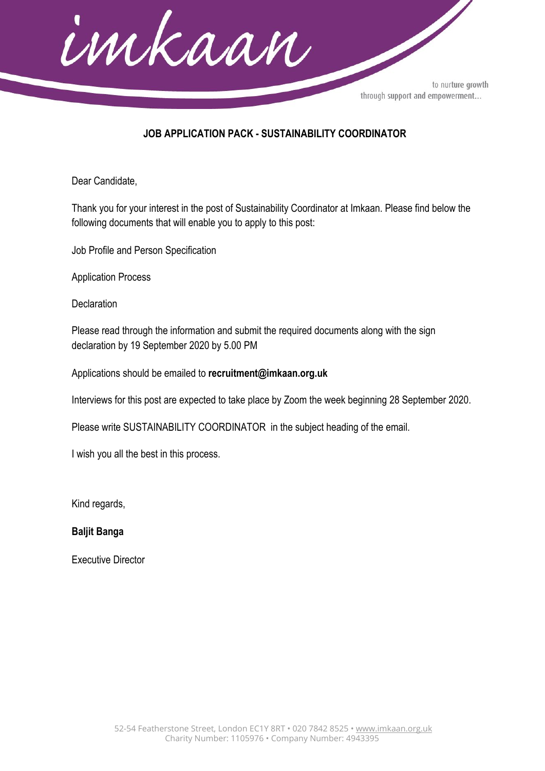

## **JOB APPLICATION PACK - SUSTAINABILITY COORDINATOR**

Dear Candidate,

Thank you for your interest in the post of Sustainability Coordinator at Imkaan. Please find below the following documents that will enable you to apply to this post:

Job Profile and Person Specification

Application Process

**Declaration** 

Please read through the information and submit the required documents along with the sign declaration by 19 September 2020 by 5.00 PM

Applications should be emailed to **recruitment@imkaan.org.uk**

Interviews for this post are expected to take place by Zoom the week beginning 28 September 2020.

Please write SUSTAINABILITY COORDINATOR in the subject heading of the email.

I wish you all the best in this process.

Kind regards,

**Baljit Banga**

Executive Director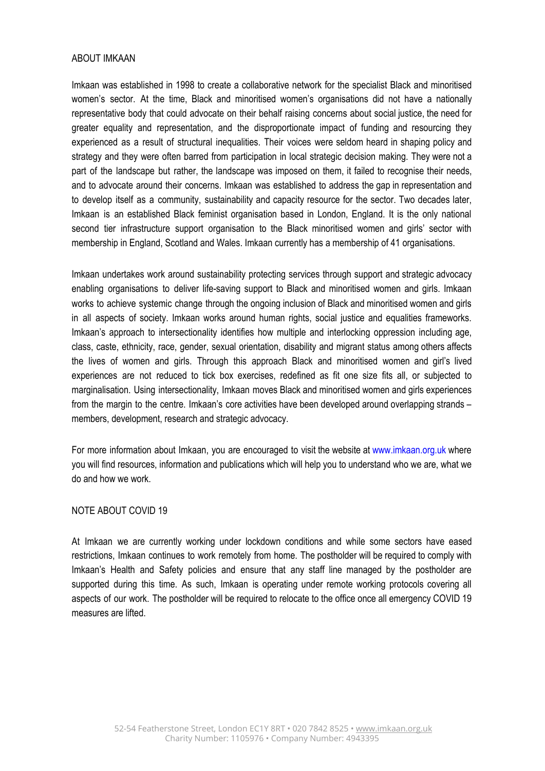#### ABOUT IMKAAN

Imkaan was established in 1998 to create a collaborative network for the specialist Black and minoritised women's sector. At the time, Black and minoritised women's organisations did not have a nationally representative body that could advocate on their behalf raising concerns about social justice, the need for greater equality and representation, and the disproportionate impact of funding and resourcing they experienced as a result of structural inequalities. Their voices were seldom heard in shaping policy and strategy and they were often barred from participation in local strategic decision making. They were not a part of the landscape but rather, the landscape was imposed on them, it failed to recognise their needs, and to advocate around their concerns. Imkaan was established to address the gap in representation and to develop itself as a community, sustainability and capacity resource for the sector. Two decades later, Imkaan is an established Black feminist organisation based in London, England. It is the only national second tier infrastructure support organisation to the Black minoritised women and girls' sector with membership in England, Scotland and Wales. Imkaan currently has a membership of 41 organisations.

Imkaan undertakes work around sustainability protecting services through support and strategic advocacy enabling organisations to deliver life-saving support to Black and minoritised women and girls. Imkaan works to achieve systemic change through the ongoing inclusion of Black and minoritised women and girls in all aspects of society. Imkaan works around human rights, social justice and equalities frameworks. Imkaan's approach to intersectionality identifies how multiple and interlocking oppression including age, class, caste, ethnicity, race, gender, sexual orientation, disability and migrant status among others affects the lives of women and girls. Through this approach Black and minoritised women and girl's lived experiences are not reduced to tick box exercises, redefined as fit one size fits all, or subjected to marginalisation. Using intersectionality, Imkaan moves Black and minoritised women and girls experiences from the margin to the centre. Imkaan's core activities have been developed around overlapping strands – members, development, research and strategic advocacy.

For more information about Imkaan, you are encouraged to visit the website at www.imkaan.org.uk where you will find resources, information and publications which will help you to understand who we are, what we do and how we work.

#### NOTE ABOUT COVID 19

At Imkaan we are currently working under lockdown conditions and while some sectors have eased restrictions, Imkaan continues to work remotely from home. The postholder will be required to comply with Imkaan's Health and Safety policies and ensure that any staff line managed by the postholder are supported during this time. As such, Imkaan is operating under remote working protocols covering all aspects of our work. The postholder will be required to relocate to the office once all emergency COVID 19 measures are lifted.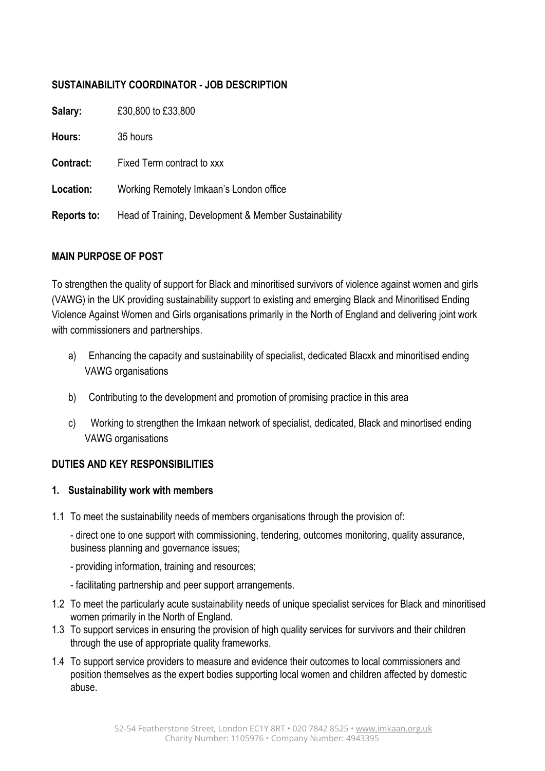## **SUSTAINABILITY COORDINATOR - JOB DESCRIPTION**

| Salary:     | £30,800 to £33,800                                    |
|-------------|-------------------------------------------------------|
| Hours:      | 35 hours                                              |
| Contract:   | Fixed Term contract to xxx                            |
| Location:   | Working Remotely Imkaan's London office               |
| Reports to: | Head of Training, Development & Member Sustainability |

#### **MAIN PURPOSE OF POST**

To strengthen the quality of support for Black and minoritised survivors of violence against women and girls (VAWG) in the UK providing sustainability support to existing and emerging Black and Minoritised Ending Violence Against Women and Girls organisations primarily in the North of England and delivering joint work with commissioners and partnerships.

- a) Enhancing the capacity and sustainability of specialist, dedicated Blacxk and minoritised ending VAWG organisations
- b) Contributing to the development and promotion of promising practice in this area
- c) Working to strengthen the Imkaan network of specialist, dedicated, Black and minortised ending VAWG organisations

#### **DUTIES AND KEY RESPONSIBILITIES**

#### **1. Sustainability work with members**

1.1 To meet the sustainability needs of members organisations through the provision of:

- direct one to one support with commissioning, tendering, outcomes monitoring, quality assurance, business planning and governance issues;

- providing information, training and resources;
- facilitating partnership and peer support arrangements.
- 1.2 To meet the particularly acute sustainability needs of unique specialist services for Black and minoritised women primarily in the North of England.
- 1.3 To support services in ensuring the provision of high quality services for survivors and their children through the use of appropriate quality frameworks.
- 1.4 To support service providers to measure and evidence their outcomes to local commissioners and position themselves as the expert bodies supporting local women and children affected by domestic abuse.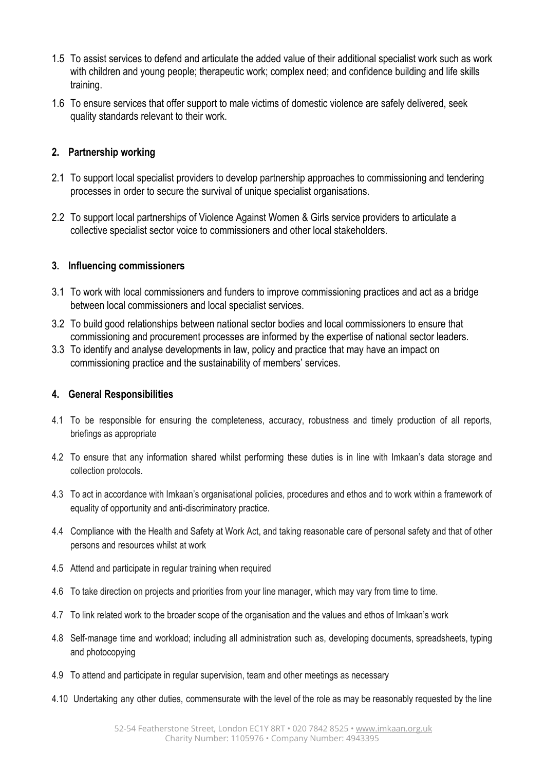- 1.5 To assist services to defend and articulate the added value of their additional specialist work such as work with children and young people; therapeutic work; complex need; and confidence building and life skills training.
- 1.6 To ensure services that offer support to male victims of domestic violence are safely delivered, seek quality standards relevant to their work.

## **2. Partnership working**

- 2.1 To support local specialist providers to develop partnership approaches to commissioning and tendering processes in order to secure the survival of unique specialist organisations.
- 2.2 To support local partnerships of Violence Against Women & Girls service providers to articulate a collective specialist sector voice to commissioners and other local stakeholders.

#### **3. Influencing commissioners**

- 3.1 To work with local commissioners and funders to improve commissioning practices and act as a bridge between local commissioners and local specialist services.
- 3.2 To build good relationships between national sector bodies and local commissioners to ensure that commissioning and procurement processes are informed by the expertise of national sector leaders.
- 3.3 To identify and analyse developments in law, policy and practice that may have an impact on commissioning practice and the sustainability of members' services.

#### **4. General Responsibilities**

- 4.1 To be responsible for ensuring the completeness, accuracy, robustness and timely production of all reports, briefings as appropriate
- 4.2 To ensure that any information shared whilst performing these duties is in line with Imkaan's data storage and collection protocols.
- 4.3 To act in accordance with Imkaan's organisational policies, procedures and ethos and to work within a framework of equality of opportunity and anti-discriminatory practice.
- 4.4 Compliance with the Health and Safety at Work Act, and taking reasonable care of personal safety and that of other persons and resources whilst at work
- 4.5 Attend and participate in regular training when required
- 4.6 To take direction on projects and priorities from your line manager, which may vary from time to time.
- 4.7 To link related work to the broader scope of the organisation and the values and ethos of Imkaan's work
- 4.8 Self-manage time and workload; including all administration such as, developing documents, spreadsheets, typing and photocopying
- 4.9 To attend and participate in regular supervision, team and other meetings as necessary
- 4.10 Undertaking any other duties, commensurate with the level of the role as may be reasonably requested by the line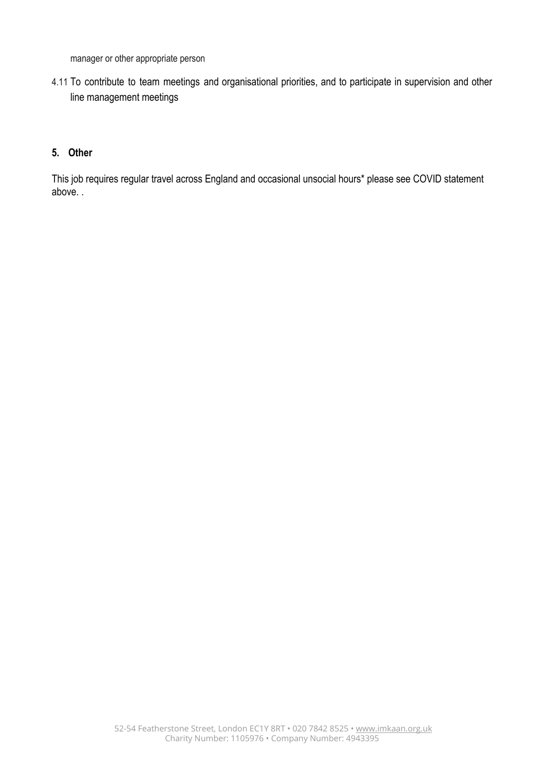manager or other appropriate person

4.11 To contribute to team meetings and organisational priorities, and to participate in supervision and other line management meetings

#### **5. Other**

This job requires regular travel across England and occasional unsocial hours\* please see COVID statement above. .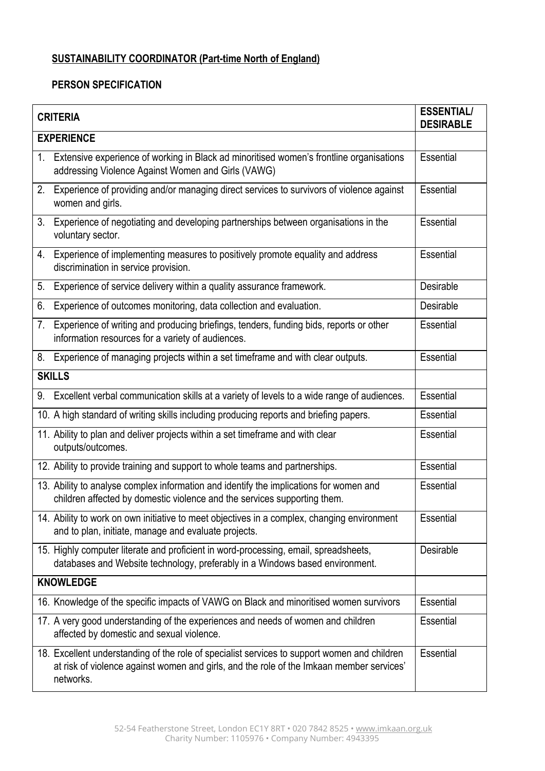# **SUSTAINABILITY COORDINATOR (Part-time North of England)**

#### **PERSON SPECIFICATION**

| <b>CRITERIA</b>  | <b>ESSENTIAL/</b><br><b>DESIRABLE</b>                                                                                                                                                                 |                  |  |  |
|------------------|-------------------------------------------------------------------------------------------------------------------------------------------------------------------------------------------------------|------------------|--|--|
|                  | <b>EXPERIENCE</b>                                                                                                                                                                                     |                  |  |  |
|                  | 1. Extensive experience of working in Black ad minoritised women's frontline organisations<br>addressing Violence Against Women and Girls (VAWG)                                                      | Essential        |  |  |
| 2.               | Experience of providing and/or managing direct services to survivors of violence against<br>women and girls.                                                                                          | Essential        |  |  |
|                  | 3. Experience of negotiating and developing partnerships between organisations in the<br>voluntary sector.                                                                                            | Essential        |  |  |
|                  | 4. Experience of implementing measures to positively promote equality and address<br>discrimination in service provision.                                                                             | Essential        |  |  |
| 5.               | Experience of service delivery within a quality assurance framework.                                                                                                                                  | Desirable        |  |  |
| 6.               | Experience of outcomes monitoring, data collection and evaluation.                                                                                                                                    | <b>Desirable</b> |  |  |
| 7.               | Experience of writing and producing briefings, tenders, funding bids, reports or other<br>information resources for a variety of audiences.                                                           | Essential        |  |  |
|                  | 8. Experience of managing projects within a set timeframe and with clear outputs.                                                                                                                     | Essential        |  |  |
| <b>SKILLS</b>    |                                                                                                                                                                                                       |                  |  |  |
| 9.               | Excellent verbal communication skills at a variety of levels to a wide range of audiences.                                                                                                            | Essential        |  |  |
|                  | 10. A high standard of writing skills including producing reports and briefing papers.                                                                                                                | Essential        |  |  |
|                  | 11. Ability to plan and deliver projects within a set timeframe and with clear<br>outputs/outcomes.                                                                                                   | Essential        |  |  |
|                  | 12. Ability to provide training and support to whole teams and partnerships.                                                                                                                          | Essential        |  |  |
|                  | 13. Ability to analyse complex information and identify the implications for women and<br>children affected by domestic violence and the services supporting them.                                    | Essential        |  |  |
|                  | 14. Ability to work on own initiative to meet objectives in a complex, changing environment<br>and to plan, initiate, manage and evaluate projects.                                                   | Essential        |  |  |
|                  | 15. Highly computer literate and proficient in word-processing, email, spreadsheets,<br>databases and Website technology, preferably in a Windows based environment.                                  | Desirable        |  |  |
| <b>KNOWLEDGE</b> |                                                                                                                                                                                                       |                  |  |  |
|                  | 16. Knowledge of the specific impacts of VAWG on Black and minoritised women survivors                                                                                                                | Essential        |  |  |
|                  | 17. A very good understanding of the experiences and needs of women and children<br>affected by domestic and sexual violence.                                                                         | Essential        |  |  |
|                  | 18. Excellent understanding of the role of specialist services to support women and children<br>at risk of violence against women and girls, and the role of the Imkaan member services'<br>networks. | Essential        |  |  |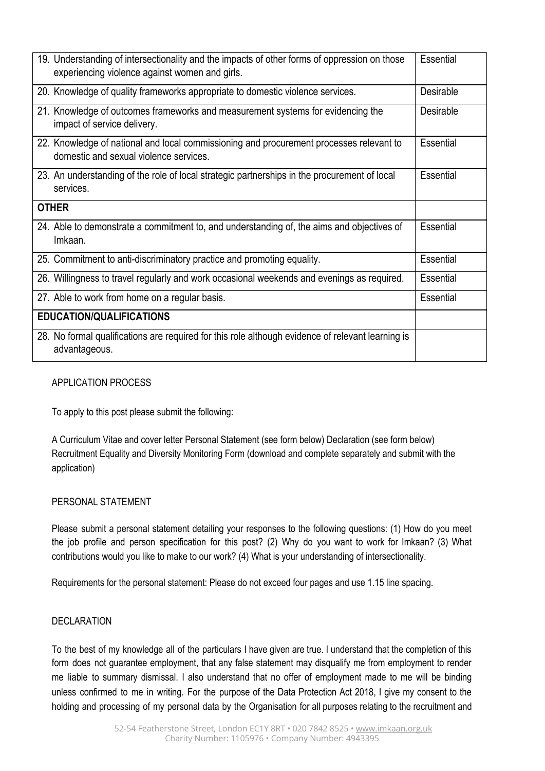| 19. Understanding of intersectionality and the impacts of other forms of oppression on those<br>experiencing violence against women and girls. | Essential        |
|------------------------------------------------------------------------------------------------------------------------------------------------|------------------|
| 20. Knowledge of quality frameworks appropriate to domestic violence services.                                                                 | Desirable        |
| 21. Knowledge of outcomes frameworks and measurement systems for evidencing the<br>impact of service delivery.                                 | <b>Desirable</b> |
| 22. Knowledge of national and local commissioning and procurement processes relevant to<br>domestic and sexual violence services.              | Essential        |
| 23. An understanding of the role of local strategic partnerships in the procurement of local<br>services.                                      | Essential        |
| <b>OTHER</b>                                                                                                                                   |                  |
| 24. Able to demonstrate a commitment to, and understanding of, the aims and objectives of<br>Imkaan.                                           | Essential        |
| 25. Commitment to anti-discriminatory practice and promoting equality.                                                                         | Essential        |
| 26. Willingness to travel regularly and work occasional weekends and evenings as required.                                                     | Essential        |
| 27. Able to work from home on a regular basis.                                                                                                 | Essential        |
| <b>EDUCATION/QUALIFICATIONS</b>                                                                                                                |                  |
| 28. No formal qualifications are required for this role although evidence of relevant learning is<br>advantageous.                             |                  |

## APPLICATION PROCESS

To apply to this post please submit the following:

A Curriculum Vitae and cover letter Personal Statement (see form below) Declaration (see form below) Recruitment Equality and Diversity Monitoring Form (download and complete separately and submit with the application)

#### PERSONAL STATEMENT

Please submit a personal statement detailing your responses to the following questions: (1) How do you meet the job profile and person specification for this post? (2) Why do you want to work for Imkaan? (3) What contributions would you like to make to our work? (4) What is your understanding of intersectionality.

Requirements for the personal statement: Please do not exceed four pages and use 1.15 line spacing.

#### DECLARATION

To the best of my knowledge all of the particulars I have given are true. I understand that the completion of this form does not guarantee employment, that any false statement may disqualify me from employment to render me liable to summary dismissal. I also understand that no offer of employment made to me will be binding unless confirmed to me in writing. For the purpose of the Data Protection Act 2018, I give my consent to the holding and processing of my personal data by the Organisation for all purposes relating to the recruitment and